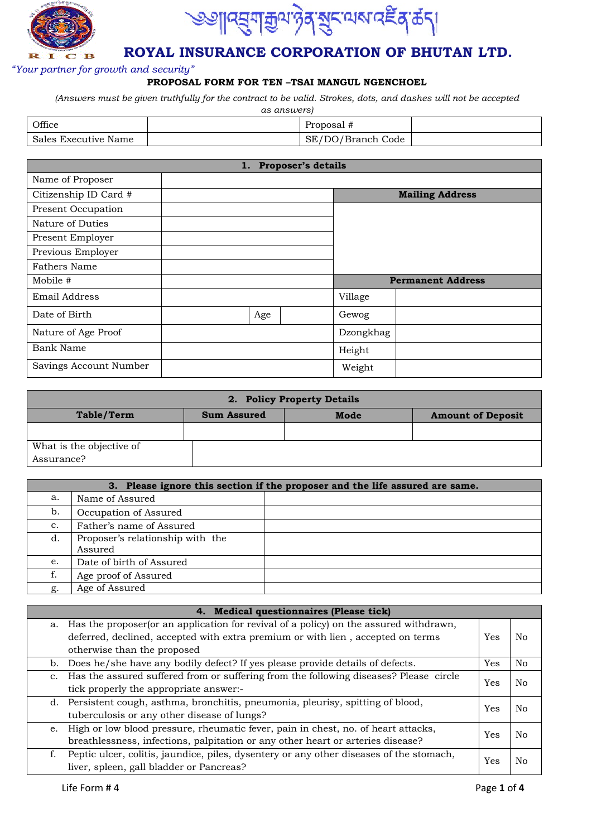



### *"Your partner for growth and security"*

### **PROPOSAL FORM FOR TEN –TSAI MANGUL NGENCHOEL**

*(Answers must be given truthfully for the contract to be valid. Strokes, dots, and dashes will not be accepted* 

| as answers)          |  |                   |  |  |
|----------------------|--|-------------------|--|--|
| Office               |  | Proposal #        |  |  |
| Sales Executive Name |  | SE/DO/Branch Code |  |  |

| 1. Proposer's details  |  |     |  |           |                          |  |
|------------------------|--|-----|--|-----------|--------------------------|--|
| Name of Proposer       |  |     |  |           |                          |  |
| Citizenship ID Card #  |  |     |  |           | <b>Mailing Address</b>   |  |
| Present Occupation     |  |     |  |           |                          |  |
| Nature of Duties       |  |     |  |           |                          |  |
| Present Employer       |  |     |  |           |                          |  |
| Previous Employer      |  |     |  |           |                          |  |
| Fathers Name           |  |     |  |           |                          |  |
| Mobile #               |  |     |  |           | <b>Permanent Address</b> |  |
| Email Address          |  |     |  | Village   |                          |  |
| Date of Birth          |  | Age |  | Gewog     |                          |  |
| Nature of Age Proof    |  |     |  | Dzongkhag |                          |  |
| Bank Name              |  |     |  | Height    |                          |  |
| Savings Account Number |  |     |  | Weight    |                          |  |

| 2. Policy Property Details             |                    |      |                          |  |  |  |
|----------------------------------------|--------------------|------|--------------------------|--|--|--|
| Table/Term                             | <b>Sum Assured</b> | Mode | <b>Amount of Deposit</b> |  |  |  |
|                                        |                    |      |                          |  |  |  |
| What is the objective of<br>Assurance? |                    |      |                          |  |  |  |

|                | 3. Please ignore this section if the proposer and the life assured are same. |  |  |  |  |
|----------------|------------------------------------------------------------------------------|--|--|--|--|
| a.             | Name of Assured                                                              |  |  |  |  |
| b.             | Occupation of Assured                                                        |  |  |  |  |
| $\mathbf{c}$ . | Father's name of Assured                                                     |  |  |  |  |
| d.             | Proposer's relationship with the<br>Assured                                  |  |  |  |  |
| e.             | Date of birth of Assured                                                     |  |  |  |  |
| f.             | Age proof of Assured                                                         |  |  |  |  |
| g.             | Age of Assured                                                               |  |  |  |  |

|                | 4. Medical questionnaires (Please tick)                                                   |     |     |
|----------------|-------------------------------------------------------------------------------------------|-----|-----|
|                | a. Has the proposer (or an application for revival of a policy) on the assured withdrawn, |     |     |
|                | deferred, declined, accepted with extra premium or with lien, accepted on terms           | Yes | No. |
|                | otherwise than the proposed                                                               |     |     |
|                | b. Does he/she have any bodily defect? If yes please provide details of defects.          | Yes | No  |
| $\mathbf{c}$ . | Has the assured suffered from or suffering from the following diseases? Please circle     | Yes | No. |
|                | tick properly the appropriate answer:-                                                    |     |     |
|                | d. Persistent cough, asthma, bronchitis, pneumonia, pleurisy, spitting of blood,          | Yes | No. |
|                | tuberculosis or any other disease of lungs?                                               |     |     |
| e.             | High or low blood pressure, rheumatic fever, pain in chest, no. of heart attacks,         | Yes | No. |
|                | breathlessness, infections, palpitation or any other heart or arteries disease?           |     |     |
|                | Peptic ulcer, colitis, jaundice, piles, dysentery or any other diseases of the stomach,   | Yes | No. |
|                | liver, spleen, gall bladder or Pancreas?                                                  |     |     |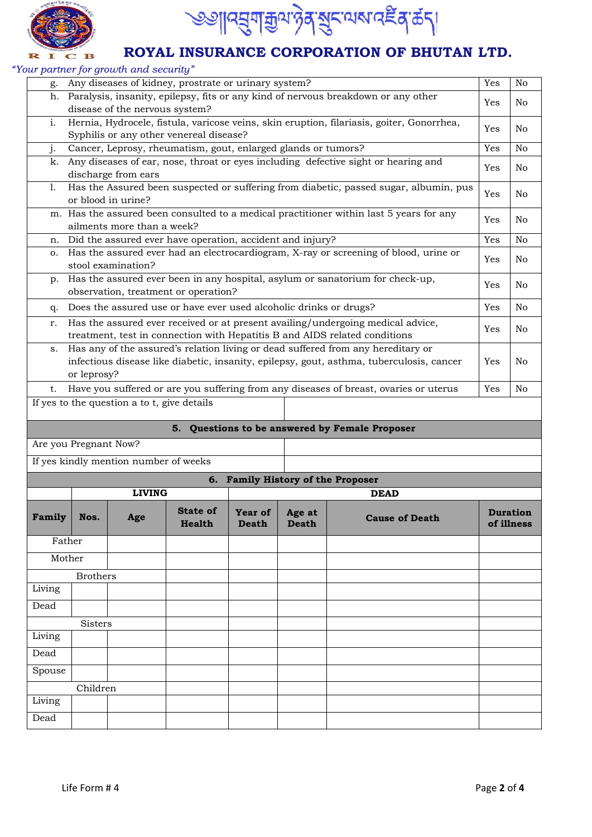



*"Your partner for growth and security"* 

|        |                                                                                   | sar paracer for growin and security         |                                                                   |                         |                        |                                                                                                                                                                |     |                               |
|--------|-----------------------------------------------------------------------------------|---------------------------------------------|-------------------------------------------------------------------|-------------------------|------------------------|----------------------------------------------------------------------------------------------------------------------------------------------------------------|-----|-------------------------------|
| g.     | Any diseases of kidney, prostrate or urinary system?                              |                                             |                                                                   |                         |                        |                                                                                                                                                                | Yes | N <sub>o</sub>                |
| h.     | Paralysis, insanity, epilepsy, fits or any kind of nervous breakdown or any other |                                             |                                                                   |                         |                        |                                                                                                                                                                | Yes | No                            |
|        | disease of the nervous system?                                                    |                                             |                                                                   |                         |                        |                                                                                                                                                                |     |                               |
| i.     |                                                                                   |                                             |                                                                   |                         |                        | Hernia, Hydrocele, fistula, varicose veins, skin eruption, filariasis, goiter, Gonorrhea,                                                                      | Yes | No                            |
|        |                                                                                   |                                             | Syphilis or any other venereal disease?                           |                         |                        |                                                                                                                                                                |     |                               |
| j.     |                                                                                   |                                             | Cancer, Leprosy, rheumatism, gout, enlarged glands or tumors?     |                         |                        |                                                                                                                                                                | Yes | No                            |
| k.     |                                                                                   | discharge from ears                         |                                                                   |                         |                        | Any diseases of ear, nose, throat or eyes including defective sight or hearing and                                                                             | Yes | No                            |
| 1.     |                                                                                   | or blood in urine?                          |                                                                   |                         |                        | Has the Assured been suspected or suffering from diabetic, passed sugar, albumin, pus                                                                          | Yes | No                            |
|        |                                                                                   | ailments more than a week?                  |                                                                   |                         |                        | m. Has the assured been consulted to a medical practitioner within last $\overline{5}$ years for any                                                           | Yes | No                            |
| n.     |                                                                                   |                                             | Did the assured ever have operation, accident and injury?         |                         |                        |                                                                                                                                                                | Yes | N <sub>o</sub>                |
| о.     |                                                                                   | stool examination?                          |                                                                   |                         |                        | Has the assured ever had an electrocardiogram, X-ray or screening of blood, urine or                                                                           | Yes | No                            |
| p.     |                                                                                   |                                             | observation, treatment or operation?                              |                         |                        | Has the assured ever been in any hospital, asylum or sanatorium for check-up,                                                                                  | Yes | No                            |
| q.     |                                                                                   |                                             | Does the assured use or have ever used alcoholic drinks or drugs? |                         |                        |                                                                                                                                                                | Yes | No                            |
| r.     |                                                                                   |                                             |                                                                   |                         |                        | Has the assured ever received or at present availing/undergoing medical advice,                                                                                | Yes | No                            |
| s.     |                                                                                   |                                             |                                                                   |                         |                        | treatment, test in connection with Hepatitis B and AIDS related conditions<br>Has any of the assured's relation living or dead suffered from any hereditary or |     |                               |
|        |                                                                                   |                                             |                                                                   |                         |                        | infectious disease like diabetic, insanity, epilepsy, gout, asthma, tuberculosis, cancer                                                                       | Yes | No                            |
|        | or leprosy?                                                                       |                                             |                                                                   |                         |                        |                                                                                                                                                                |     |                               |
| t.     |                                                                                   |                                             |                                                                   |                         |                        | Have you suffered or are you suffering from any diseases of breast, ovaries or uterus                                                                          | Yes | No                            |
|        |                                                                                   | If yes to the question a to t, give details |                                                                   |                         |                        |                                                                                                                                                                |     |                               |
|        |                                                                                   |                                             |                                                                   |                         |                        |                                                                                                                                                                |     |                               |
|        |                                                                                   |                                             |                                                                   |                         |                        | 5. Questions to be answered by Female Proposer                                                                                                                 |     |                               |
|        | Are you Pregnant Now?                                                             |                                             |                                                                   |                         |                        |                                                                                                                                                                |     |                               |
|        |                                                                                   | If yes kindly mention number of weeks       |                                                                   |                         |                        |                                                                                                                                                                |     |                               |
|        |                                                                                   |                                             |                                                                   |                         |                        | 6. Family History of the Proposer                                                                                                                              |     |                               |
|        |                                                                                   | <b>LIVING</b>                               |                                                                   |                         |                        | <b>DEAD</b>                                                                                                                                                    |     |                               |
| Family | Nos.                                                                              | Age                                         | <b>State of</b><br><b>Health</b>                                  | Year of<br><b>Death</b> | Age at<br><b>Death</b> | <b>Cause of Death</b>                                                                                                                                          |     | <b>Duration</b><br>of illness |
| Father |                                                                                   |                                             |                                                                   |                         |                        |                                                                                                                                                                |     |                               |
| Mother |                                                                                   |                                             |                                                                   |                         |                        |                                                                                                                                                                |     |                               |
|        | <b>Brothers</b>                                                                   |                                             |                                                                   |                         |                        |                                                                                                                                                                |     |                               |
| Living |                                                                                   |                                             |                                                                   |                         |                        |                                                                                                                                                                |     |                               |
| Dead   |                                                                                   |                                             |                                                                   |                         |                        |                                                                                                                                                                |     |                               |
|        | Sisters                                                                           |                                             |                                                                   |                         |                        |                                                                                                                                                                |     |                               |
| Living |                                                                                   |                                             |                                                                   |                         |                        |                                                                                                                                                                |     |                               |
| Dead   |                                                                                   |                                             |                                                                   |                         |                        |                                                                                                                                                                |     |                               |
|        |                                                                                   |                                             |                                                                   |                         |                        |                                                                                                                                                                |     |                               |
| Spouse |                                                                                   |                                             |                                                                   |                         |                        |                                                                                                                                                                |     |                               |
|        | Children                                                                          |                                             |                                                                   |                         |                        |                                                                                                                                                                |     |                               |
| Living |                                                                                   |                                             |                                                                   |                         |                        |                                                                                                                                                                |     |                               |
| Dead   |                                                                                   |                                             |                                                                   |                         |                        |                                                                                                                                                                |     |                               |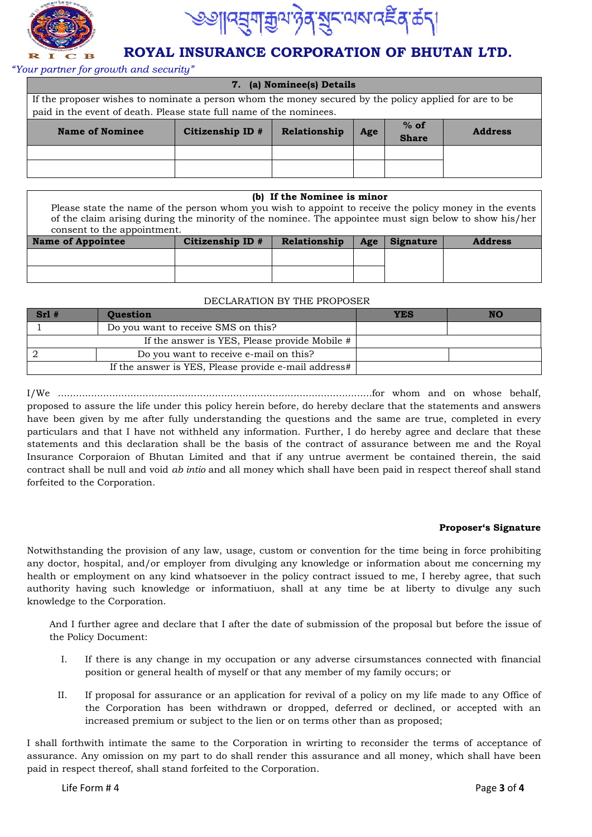



#### *"Your partner for growth and security"*

| 7. (a) Nominee(s) Details                                                                                                                                                     |                                                                                     |  |  |  |  |
|-------------------------------------------------------------------------------------------------------------------------------------------------------------------------------|-------------------------------------------------------------------------------------|--|--|--|--|
| If the proposer wishes to nominate a person whom the money secured by the policy applied for are to be<br>paid in the event of death. Please state full name of the nominees. |                                                                                     |  |  |  |  |
| <b>Name of Nominee</b>                                                                                                                                                        | $%$ of<br>Citizenship ID #<br>Relationship<br><b>Address</b><br>Age<br><b>Share</b> |  |  |  |  |
|                                                                                                                                                                               |                                                                                     |  |  |  |  |
|                                                                                                                                                                               |                                                                                     |  |  |  |  |

#### **(b) If the Nominee is minor**

Please state the name of the person whom you wish to appoint to receive the policy money in the events of the claim arising during the minority of the nominee. The appointee must sign below to show his/her consent to the appointment.

| Name of Appointee | Citizenship ID $#$ | Relationship | Age | Signature | <b>Address</b> |
|-------------------|--------------------|--------------|-----|-----------|----------------|
|                   |                    |              |     |           |                |
|                   |                    |              |     |           |                |

#### DECLARATION BY THE PROPOSER

| $Srl$ # | <b>Question</b>                                      | YES | NO |
|---------|------------------------------------------------------|-----|----|
|         | Do you want to receive SMS on this?                  |     |    |
|         | If the answer is YES, Please provide Mobile #        |     |    |
|         | Do you want to receive e-mail on this?               |     |    |
|         | If the answer is YES, Please provide e-mail address# |     |    |

I/We ........................................................................................................for whom and on whose behalf, proposed to assure the life under this policy herein before, do hereby declare that the statements and answers have been given by me after fully understanding the questions and the same are true, completed in every particulars and that I have not withheld any information. Further, I do hereby agree and declare that these statements and this declaration shall be the basis of the contract of assurance between me and the Royal Insurance Corporaion of Bhutan Limited and that if any untrue averment be contained therein, the said contract shall be null and void *ab intio* and all money which shall have been paid in respect thereof shall stand forfeited to the Corporation.

#### **Proposer's Signature**

Notwithstanding the provision of any law, usage, custom or convention for the time being in force prohibiting any doctor, hospital, and/or employer from divulging any knowledge or information about me concerning my health or employment on any kind whatsoever in the policy contract issued to me, I hereby agree, that such authority having such knowledge or informatiuon, shall at any time be at liberty to divulge any such knowledge to the Corporation.

And I further agree and declare that I after the date of submission of the proposal but before the issue of the Policy Document:

- I. If there is any change in my occupation or any adverse cirsumstances connected with financial position or general health of myself or that any member of my family occurs; or
- II. If proposal for assurance or an application for revival of a policy on my life made to any Office of the Corporation has been withdrawn or dropped, deferred or declined, or accepted with an increased premium or subject to the lien or on terms other than as proposed;

I shall forthwith intimate the same to the Corporation in wrirting to reconsider the terms of acceptance of assurance. Any omission on my part to do shall render this assurance and all money, which shall have been paid in respect thereof, shall stand forfeited to the Corporation.